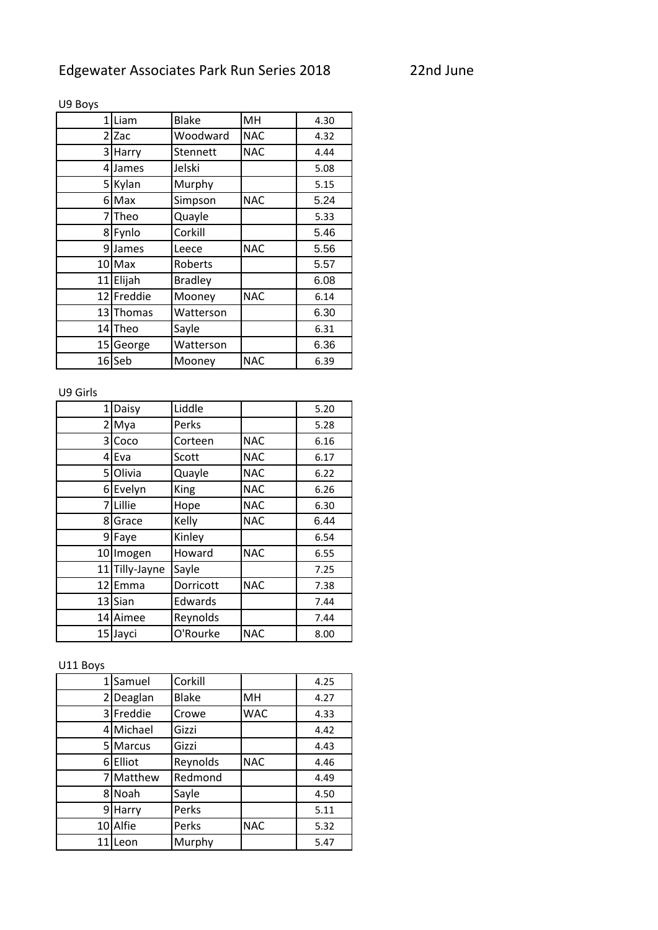| 1               | Liam      | <b>Blake</b>   | MH         | 4.30 |
|-----------------|-----------|----------------|------------|------|
| 2               | Zac       | Woodward       | <b>NAC</b> | 4.32 |
| 3               | Harry     | Stennett       | <b>NAC</b> | 4.44 |
| $\overline{4}$  | James     | Jelski         |            | 5.08 |
| 51              | Kylan     | Murphy         |            | 5.15 |
| 61              | Max       | Simpson        | <b>NAC</b> | 5.24 |
| 7               | Theo      | Quayle         |            | 5.33 |
|                 | 8 Fynlo   | Corkill        |            | 5.46 |
|                 | 9 James   | Leece          | <b>NAC</b> | 5.56 |
| 10 <sub>l</sub> | Max       | Roberts        |            | 5.57 |
| 11              | Elijah    | <b>Bradley</b> |            | 6.08 |
| 12              | Freddie   | Mooney         | <b>NAC</b> | 6.14 |
|                 | 13 Thomas | Watterson      |            | 6.30 |
|                 | 14 Theo   | Sayle          |            | 6.31 |
| 15 <sup>1</sup> | George    | Watterson      |            | 6.36 |
| 16              | Seb       | Mooney         | <b>NAC</b> | 6.39 |

## U9 Boys

## U9 Girls

| $1\vert$       | Daisy          | Liddle      |            | 5.20 |
|----------------|----------------|-------------|------------|------|
| $\overline{2}$ | Mya            | Perks       |            | 5.28 |
|                | 3 Coco         | Corteen     | <b>NAC</b> | 6.16 |
|                | 4 Eva          | Scott       | <b>NAC</b> | 6.17 |
|                | 5 Olivia       | Quayle      | <b>NAC</b> | 6.22 |
|                | 6 Evelyn       | <b>King</b> | <b>NAC</b> | 6.26 |
|                | 7 Lillie       | Hope        | <b>NAC</b> | 6.30 |
|                | 8 Grace        | Kelly       | <b>NAC</b> | 6.44 |
|                | 9 Faye         | Kinley      |            | 6.54 |
|                | 10 Imogen      | Howard      | <b>NAC</b> | 6.55 |
|                | 11 Tilly-Jayne | Sayle       |            | 7.25 |
|                | 12 Emma        | Dorricott   | <b>NAC</b> | 7.38 |
|                | 13 Sian        | Edwards     |            | 7.44 |
|                | 14 Aimee       | Reynolds    |            | 7.44 |
|                | 15 Jayci       | O'Rourke    | <b>NAC</b> | 8.00 |

## U11 Boys

|    | 1 Samuel  | Corkill      |            | 4.25 |
|----|-----------|--------------|------------|------|
| 21 | Deaglan   | <b>Blake</b> | MH         | 4.27 |
|    | 3 Freddie | Crowe        | <b>WAC</b> | 4.33 |
|    | 4 Michael | Gizzi        |            | 4.42 |
|    | 5 Marcus  | Gizzi        |            | 4.43 |
| 6  | Elliot    | Reynolds     | <b>NAC</b> | 4.46 |
|    | Matthew   | Redmond      |            | 4.49 |
|    | 8 Noah    | Sayle        |            | 4.50 |
| 91 | Harry     | Perks        |            | 5.11 |
|    | 10 Alfie  | Perks        | <b>NAC</b> | 5.32 |
|    | 11 Leon   | Murphy       |            | 5.47 |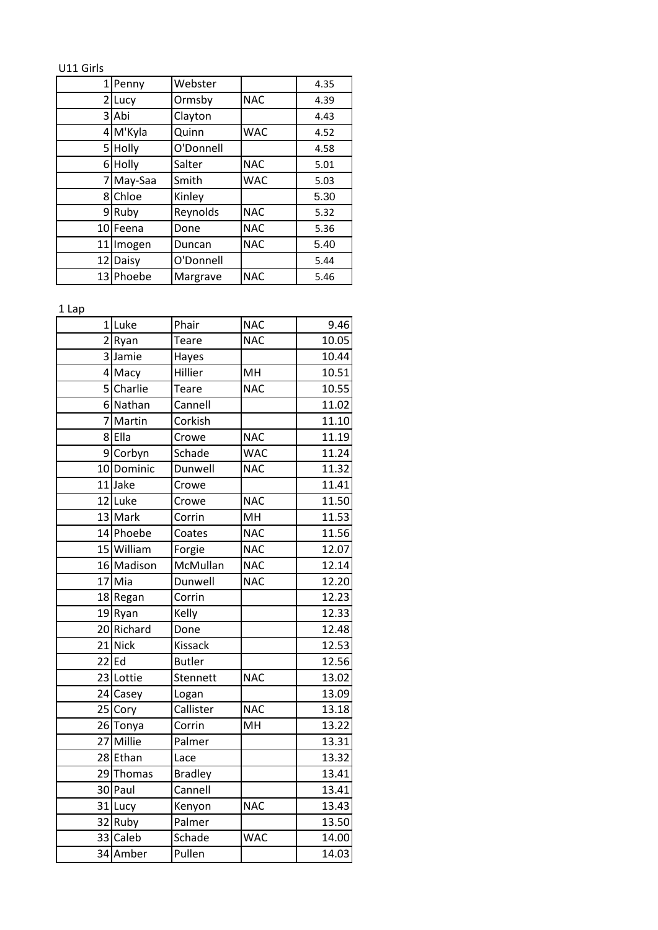## U11 Girls

| 1              | Penny     | Webster   |            | 4.35 |
|----------------|-----------|-----------|------------|------|
| $\overline{2}$ | Lucy      | Ormsby    | <b>NAC</b> | 4.39 |
|                | 3 Abi     | Clayton   |            | 4.43 |
|                | 4 M'Kyla  | Quinn     | <b>WAC</b> | 4.52 |
|                | 5 Holly   | O'Donnell |            | 4.58 |
|                | 6 Holly   | Salter    | <b>NAC</b> | 5.01 |
| 71             | May-Saa   | Smith     | <b>WAC</b> | 5.03 |
|                | 8 Chloe   | Kinley    |            | 5.30 |
| 91             | Ruby      | Reynolds  | <b>NAC</b> | 5.32 |
|                | 10 Feena  | Done      | <b>NAC</b> | 5.36 |
| 11             | Imogen    | Duncan    | <b>NAC</b> | 5.40 |
| 12             | Daisy     | O'Donnell |            | 5.44 |
|                | 13 Phoebe | Margrave  | <b>NAC</b> | 5.46 |

1 Lap

| <b>NAC</b><br>1 Luke<br>Phair<br><b>NAC</b><br>2Ryan<br>Teare<br>3 Jamie<br>Hayes<br>MH<br>Hillier<br>4 Macy<br>Charlie<br>5 <sup>1</sup><br>Teare<br><b>NAC</b><br>6 Nathan<br>Cannell<br>Martin<br>7<br>Corkish<br>8 Ella<br><b>NAC</b><br>Crowe<br>9 Corbyn<br>Schade<br><b>WAC</b><br>10 Dominic<br>Dunwell<br><b>NAC</b><br>11Jake<br>Crowe<br><b>NAC</b><br>12 Luke<br>Crowe<br>13 Mark<br>MH<br>Corrin<br>14 Phoebe<br><b>NAC</b><br>Coates<br>15 William<br><b>NAC</b><br>Forgie<br>16 Madison<br>McMullan<br><b>NAC</b><br>17 Mia<br>Dunwell<br><b>NAC</b><br>Corrin<br>18 Regan<br>19 Ryan<br>Kelly<br>20 Richard<br>Done<br>21 Nick<br>Kissack<br>$22$ Ed<br><b>Butler</b><br>23 Lottie<br>Stennett<br><b>NAC</b><br>24 Casey<br>Logan<br>Callister<br>25 Cory<br><b>NAC</b><br>Corrin<br>MH<br>26 Tonya<br>27 Millie<br>Palmer<br>28 Ethan<br>Lace<br>29 Thomas<br><b>Bradley</b><br>30 Paul<br>Cannell<br>31 Lucy<br>Kenyon<br><b>NAC</b><br>32 Ruby<br>Palmer<br><b>WAC</b><br>33 Caleb<br>Schade<br>34 Amber<br>Pullen |  |  |       |
|---------------------------------------------------------------------------------------------------------------------------------------------------------------------------------------------------------------------------------------------------------------------------------------------------------------------------------------------------------------------------------------------------------------------------------------------------------------------------------------------------------------------------------------------------------------------------------------------------------------------------------------------------------------------------------------------------------------------------------------------------------------------------------------------------------------------------------------------------------------------------------------------------------------------------------------------------------------------------------------------------------------------------------------|--|--|-------|
|                                                                                                                                                                                                                                                                                                                                                                                                                                                                                                                                                                                                                                                                                                                                                                                                                                                                                                                                                                                                                                       |  |  | 9.46  |
|                                                                                                                                                                                                                                                                                                                                                                                                                                                                                                                                                                                                                                                                                                                                                                                                                                                                                                                                                                                                                                       |  |  | 10.05 |
|                                                                                                                                                                                                                                                                                                                                                                                                                                                                                                                                                                                                                                                                                                                                                                                                                                                                                                                                                                                                                                       |  |  | 10.44 |
|                                                                                                                                                                                                                                                                                                                                                                                                                                                                                                                                                                                                                                                                                                                                                                                                                                                                                                                                                                                                                                       |  |  | 10.51 |
|                                                                                                                                                                                                                                                                                                                                                                                                                                                                                                                                                                                                                                                                                                                                                                                                                                                                                                                                                                                                                                       |  |  | 10.55 |
|                                                                                                                                                                                                                                                                                                                                                                                                                                                                                                                                                                                                                                                                                                                                                                                                                                                                                                                                                                                                                                       |  |  | 11.02 |
|                                                                                                                                                                                                                                                                                                                                                                                                                                                                                                                                                                                                                                                                                                                                                                                                                                                                                                                                                                                                                                       |  |  | 11.10 |
|                                                                                                                                                                                                                                                                                                                                                                                                                                                                                                                                                                                                                                                                                                                                                                                                                                                                                                                                                                                                                                       |  |  | 11.19 |
|                                                                                                                                                                                                                                                                                                                                                                                                                                                                                                                                                                                                                                                                                                                                                                                                                                                                                                                                                                                                                                       |  |  | 11.24 |
|                                                                                                                                                                                                                                                                                                                                                                                                                                                                                                                                                                                                                                                                                                                                                                                                                                                                                                                                                                                                                                       |  |  | 11.32 |
|                                                                                                                                                                                                                                                                                                                                                                                                                                                                                                                                                                                                                                                                                                                                                                                                                                                                                                                                                                                                                                       |  |  | 11.41 |
|                                                                                                                                                                                                                                                                                                                                                                                                                                                                                                                                                                                                                                                                                                                                                                                                                                                                                                                                                                                                                                       |  |  | 11.50 |
|                                                                                                                                                                                                                                                                                                                                                                                                                                                                                                                                                                                                                                                                                                                                                                                                                                                                                                                                                                                                                                       |  |  | 11.53 |
|                                                                                                                                                                                                                                                                                                                                                                                                                                                                                                                                                                                                                                                                                                                                                                                                                                                                                                                                                                                                                                       |  |  | 11.56 |
|                                                                                                                                                                                                                                                                                                                                                                                                                                                                                                                                                                                                                                                                                                                                                                                                                                                                                                                                                                                                                                       |  |  | 12.07 |
|                                                                                                                                                                                                                                                                                                                                                                                                                                                                                                                                                                                                                                                                                                                                                                                                                                                                                                                                                                                                                                       |  |  | 12.14 |
|                                                                                                                                                                                                                                                                                                                                                                                                                                                                                                                                                                                                                                                                                                                                                                                                                                                                                                                                                                                                                                       |  |  | 12.20 |
|                                                                                                                                                                                                                                                                                                                                                                                                                                                                                                                                                                                                                                                                                                                                                                                                                                                                                                                                                                                                                                       |  |  | 12.23 |
|                                                                                                                                                                                                                                                                                                                                                                                                                                                                                                                                                                                                                                                                                                                                                                                                                                                                                                                                                                                                                                       |  |  | 12.33 |
|                                                                                                                                                                                                                                                                                                                                                                                                                                                                                                                                                                                                                                                                                                                                                                                                                                                                                                                                                                                                                                       |  |  | 12.48 |
|                                                                                                                                                                                                                                                                                                                                                                                                                                                                                                                                                                                                                                                                                                                                                                                                                                                                                                                                                                                                                                       |  |  | 12.53 |
|                                                                                                                                                                                                                                                                                                                                                                                                                                                                                                                                                                                                                                                                                                                                                                                                                                                                                                                                                                                                                                       |  |  | 12.56 |
|                                                                                                                                                                                                                                                                                                                                                                                                                                                                                                                                                                                                                                                                                                                                                                                                                                                                                                                                                                                                                                       |  |  | 13.02 |
|                                                                                                                                                                                                                                                                                                                                                                                                                                                                                                                                                                                                                                                                                                                                                                                                                                                                                                                                                                                                                                       |  |  | 13.09 |
|                                                                                                                                                                                                                                                                                                                                                                                                                                                                                                                                                                                                                                                                                                                                                                                                                                                                                                                                                                                                                                       |  |  | 13.18 |
|                                                                                                                                                                                                                                                                                                                                                                                                                                                                                                                                                                                                                                                                                                                                                                                                                                                                                                                                                                                                                                       |  |  | 13.22 |
|                                                                                                                                                                                                                                                                                                                                                                                                                                                                                                                                                                                                                                                                                                                                                                                                                                                                                                                                                                                                                                       |  |  | 13.31 |
|                                                                                                                                                                                                                                                                                                                                                                                                                                                                                                                                                                                                                                                                                                                                                                                                                                                                                                                                                                                                                                       |  |  | 13.32 |
|                                                                                                                                                                                                                                                                                                                                                                                                                                                                                                                                                                                                                                                                                                                                                                                                                                                                                                                                                                                                                                       |  |  | 13.41 |
|                                                                                                                                                                                                                                                                                                                                                                                                                                                                                                                                                                                                                                                                                                                                                                                                                                                                                                                                                                                                                                       |  |  | 13.41 |
|                                                                                                                                                                                                                                                                                                                                                                                                                                                                                                                                                                                                                                                                                                                                                                                                                                                                                                                                                                                                                                       |  |  | 13.43 |
|                                                                                                                                                                                                                                                                                                                                                                                                                                                                                                                                                                                                                                                                                                                                                                                                                                                                                                                                                                                                                                       |  |  | 13.50 |
|                                                                                                                                                                                                                                                                                                                                                                                                                                                                                                                                                                                                                                                                                                                                                                                                                                                                                                                                                                                                                                       |  |  | 14.00 |
|                                                                                                                                                                                                                                                                                                                                                                                                                                                                                                                                                                                                                                                                                                                                                                                                                                                                                                                                                                                                                                       |  |  | 14.03 |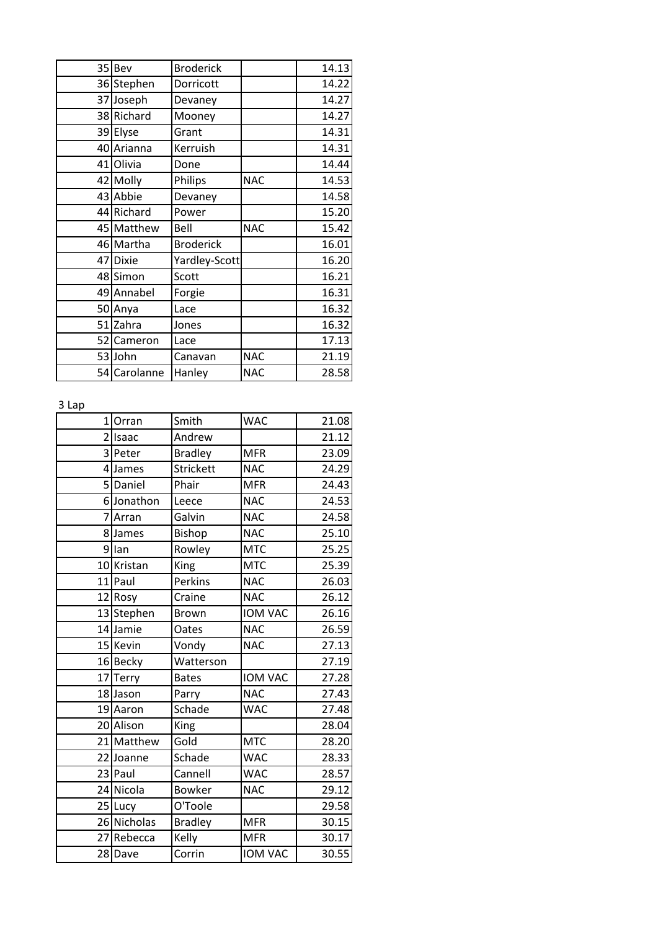| 35 | Bev          | <b>Broderick</b> |            | 14.13 |
|----|--------------|------------------|------------|-------|
|    | 36 Stephen   | Dorricott        |            | 14.22 |
|    | 37 Joseph    | Devaney          |            | 14.27 |
|    | 38 Richard   | Mooney           |            | 14.27 |
| 39 | Elyse        | Grant            |            | 14.31 |
|    | 40 Arianna   | Kerruish         |            | 14.31 |
| 41 | Olivia       | Done             |            | 14.44 |
|    | 42 Molly     | Philips          | <b>NAC</b> | 14.53 |
|    | 43 Abbie     | Devaney          |            | 14.58 |
|    | 44 Richard   | Power            |            | 15.20 |
|    | 45 Matthew   | Bell             | <b>NAC</b> | 15.42 |
|    | 46 Martha    | <b>Broderick</b> |            | 16.01 |
| 47 | <b>Dixie</b> | Yardley-Scott    |            | 16.20 |
|    | 48 Simon     | Scott            |            | 16.21 |
|    | 49 Annabel   | Forgie           |            | 16.31 |
|    | 50 Anya      | Lace             |            | 16.32 |
|    | 51 Zahra     | Jones            |            | 16.32 |
|    | 52 Cameron   | Lace             |            | 17.13 |
|    | 53 John      | Canavan          | <b>NAC</b> | 21.19 |
|    | 54 Carolanne | Hanley           | <b>NAC</b> | 28.58 |

3 Lap

| $\mathbf{1}$   | Orran       | Smith            | <b>WAC</b>     | 21.08 |
|----------------|-------------|------------------|----------------|-------|
| $\overline{2}$ | Isaac       | Andrew           |                | 21.12 |
| 3              | Peter       | <b>Bradley</b>   | <b>MFR</b>     | 23.09 |
|                | 4 James     | <b>Strickett</b> | <b>NAC</b>     | 24.29 |
| 51             | Daniel      | Phair            | <b>MFR</b>     | 24.43 |
| 6              | Jonathon    | Leece            | <b>NAC</b>     | 24.53 |
| 7              | Arran       | Galvin           | <b>NAC</b>     | 24.58 |
| 8              | James       | Bishop           | <b>NAC</b>     | 25.10 |
| 9              | lan         | Rowley           | <b>MTC</b>     | 25.25 |
|                | 10 Kristan  | King             | <b>MTC</b>     | 25.39 |
| 11             | Paul        | Perkins          | <b>NAC</b>     | 26.03 |
|                | 12 Rosy     | Craine           | <b>NAC</b>     | 26.12 |
|                | 13 Stephen  | <b>Brown</b>     | <b>IOM VAC</b> | 26.16 |
|                | 14 Jamie    | Oates            | <b>NAC</b>     | 26.59 |
|                | 15 Kevin    | Vondy            | <b>NAC</b>     | 27.13 |
|                | 16 Becky    | Watterson        |                | 27.19 |
| 17             | Terry       | <b>Bates</b>     | <b>IOM VAC</b> | 27.28 |
|                | 18 Jason    | Parry            | <b>NAC</b>     | 27.43 |
|                | 19 Aaron    | Schade           | <b>WAC</b>     | 27.48 |
|                | 20 Alison   | King             |                | 28.04 |
| 21             | Matthew     | Gold             | <b>MTC</b>     | 28.20 |
|                | 22 Joanne   | Schade           | <b>WAC</b>     | 28.33 |
|                | 23 Paul     | Cannell          | <b>WAC</b>     | 28.57 |
|                | 24 Nicola   | <b>Bowker</b>    | <b>NAC</b>     | 29.12 |
|                | 25 Lucy     | O'Toole          |                | 29.58 |
|                | 26 Nicholas | <b>Bradley</b>   | <b>MFR</b>     | 30.15 |
| 27             | Rebecca     | Kelly            | <b>MFR</b>     | 30.17 |
|                | 28 Dave     | Corrin           | <b>IOM VAC</b> | 30.55 |
|                |             |                  |                |       |